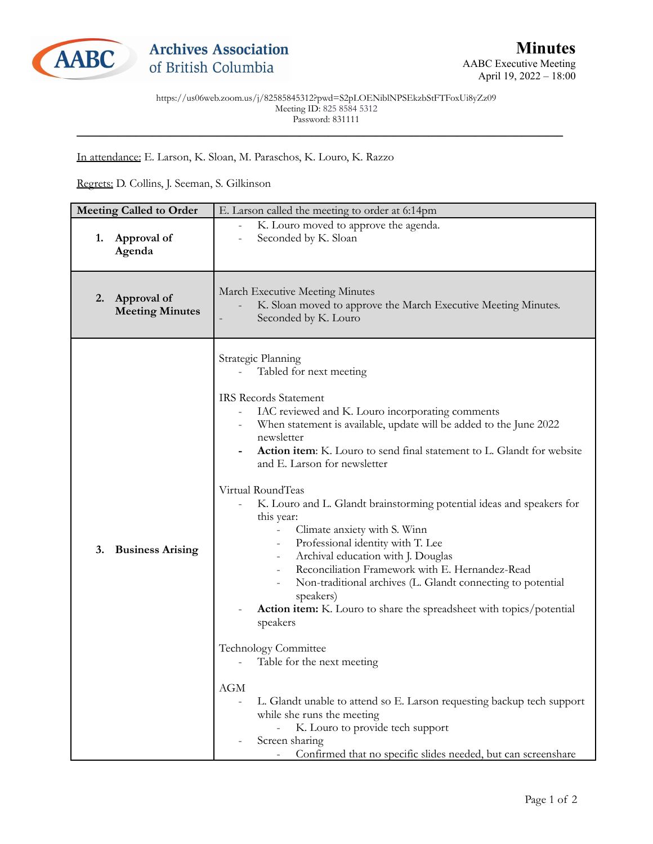

https://us06web.zoom.us/j/82585845312?pwd=S2pLOENiblNPSEkzbStFTFoxUi8yZz09 Meeting ID: 825 8584 5312 Password: 831111 \_\_\_\_\_\_\_\_\_\_\_\_\_\_\_\_\_\_\_\_\_\_\_\_\_\_\_\_\_\_\_\_\_\_\_\_\_\_\_\_\_\_\_\_\_\_\_\_\_\_\_\_\_\_\_\_\_\_\_\_\_\_\_\_\_\_\_\_\_\_\_\_\_\_\_\_\_\_\_\_\_\_\_

In attendance: E. Larson, K. Sloan, M. Paraschos, K. Louro, K. Razzo

Regrets: D. Collins, J. Seeman, S. Gilkinson

| <b>Meeting Called to Order</b> |                                       | E. Larson called the meeting to order at 6:14pm                                                                                                                                                                                                                                                                                                                                                                                                                                                                                                                                                                                                                                                                                                                                                                                                                                                                                                                                                                                                                                                                                                                         |
|--------------------------------|---------------------------------------|-------------------------------------------------------------------------------------------------------------------------------------------------------------------------------------------------------------------------------------------------------------------------------------------------------------------------------------------------------------------------------------------------------------------------------------------------------------------------------------------------------------------------------------------------------------------------------------------------------------------------------------------------------------------------------------------------------------------------------------------------------------------------------------------------------------------------------------------------------------------------------------------------------------------------------------------------------------------------------------------------------------------------------------------------------------------------------------------------------------------------------------------------------------------------|
| 1.                             | Approval of<br>Agenda                 | K. Louro moved to approve the agenda.<br>Seconded by K. Sloan                                                                                                                                                                                                                                                                                                                                                                                                                                                                                                                                                                                                                                                                                                                                                                                                                                                                                                                                                                                                                                                                                                           |
| 2.                             | Approval of<br><b>Meeting Minutes</b> | March Executive Meeting Minutes<br>K. Sloan moved to approve the March Executive Meeting Minutes.<br>Seconded by K. Louro                                                                                                                                                                                                                                                                                                                                                                                                                                                                                                                                                                                                                                                                                                                                                                                                                                                                                                                                                                                                                                               |
| 3.                             | <b>Business Arising</b>               | Strategic Planning<br>Tabled for next meeting<br><b>IRS Records Statement</b><br>IAC reviewed and K. Louro incorporating comments<br>When statement is available, update will be added to the June 2022<br>newsletter<br>Action item: K. Louro to send final statement to L. Glandt for website<br>and E. Larson for newsletter<br>Virtual RoundTeas<br>K. Louro and L. Glandt brainstorming potential ideas and speakers for<br>this year:<br>Climate anxiety with S. Winn<br>$\overline{\phantom{a}}$<br>Professional identity with T. Lee<br>$\overline{\phantom{a}}$<br>Archival education with J. Douglas<br>$\overline{\phantom{a}}$<br>Reconciliation Framework with E. Hernandez-Read<br>Non-traditional archives (L. Glandt connecting to potential<br>speakers)<br>Action item: K. Louro to share the spreadsheet with topics/potential<br>speakers<br><b>Technology Committee</b><br>Table for the next meeting<br><b>AGM</b><br>L. Glandt unable to attend so E. Larson requesting backup tech support<br>while she runs the meeting<br>K. Louro to provide tech support<br>Screen sharing<br>Confirmed that no specific slides needed, but can screenshare |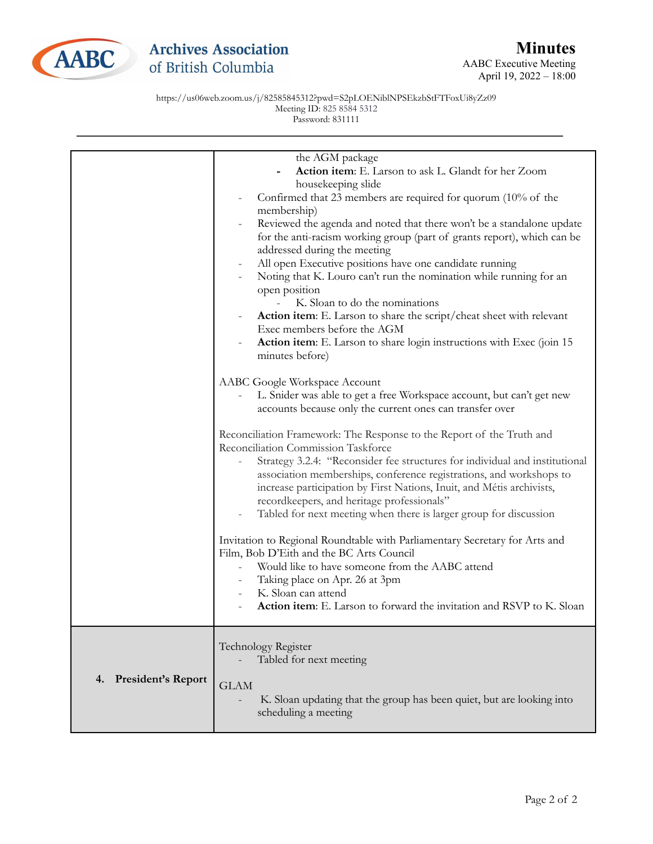

AABC Executive Meeting April 19, 2022 – 18:00

https://us06web.zoom.us/j/82585845312?pwd=S2pLOENiblNPSEkzbStFTFoxUi8yZz09 Meeting ID: 825 8584 5312 Password: 831111

|                       | the AGM package                                                             |
|-----------------------|-----------------------------------------------------------------------------|
|                       | Action item: E. Larson to ask L. Glandt for her Zoom                        |
|                       | housekeeping slide                                                          |
|                       | Confirmed that 23 members are required for quorum (10% of the               |
|                       | membership)                                                                 |
|                       | Reviewed the agenda and noted that there won't be a standalone update       |
|                       | for the anti-racism working group (part of grants report), which can be     |
|                       | addressed during the meeting                                                |
|                       | All open Executive positions have one candidate running                     |
|                       | Noting that K. Louro can't run the nomination while running for an          |
|                       | open position                                                               |
|                       | K. Sloan to do the nominations                                              |
|                       | Action item: E. Larson to share the script/cheat sheet with relevant        |
|                       | Exec members before the AGM                                                 |
|                       | Action item: E. Larson to share login instructions with Exec (join 15       |
|                       | minutes before)                                                             |
|                       | AABC Google Workspace Account                                               |
|                       | L. Snider was able to get a free Workspace account, but can't get new       |
|                       | accounts because only the current ones can transfer over                    |
|                       |                                                                             |
|                       | Reconciliation Framework: The Response to the Report of the Truth and       |
|                       | Reconciliation Commission Taskforce                                         |
|                       | Strategy 3.2.4: "Reconsider fee structures for individual and institutional |
|                       | association memberships, conference registrations, and workshops to         |
|                       | increase participation by First Nations, Inuit, and Métis archivists,       |
|                       | recordkeepers, and heritage professionals"                                  |
|                       | Tabled for next meeting when there is larger group for discussion           |
|                       | Invitation to Regional Roundtable with Parliamentary Secretary for Arts and |
|                       | Film, Bob D'Eith and the BC Arts Council                                    |
|                       | Would like to have someone from the AABC attend                             |
|                       | Taking place on Apr. 26 at 3pm                                              |
|                       | K. Sloan can attend                                                         |
|                       | Action item: E. Larson to forward the invitation and RSVP to K. Sloan       |
|                       |                                                                             |
|                       |                                                                             |
|                       | Technology Register                                                         |
|                       | Tabled for next meeting                                                     |
| 4. President's Report |                                                                             |
|                       | <b>GLAM</b>                                                                 |
|                       | K. Sloan updating that the group has been quiet, but are looking into       |
|                       | scheduling a meeting                                                        |
|                       |                                                                             |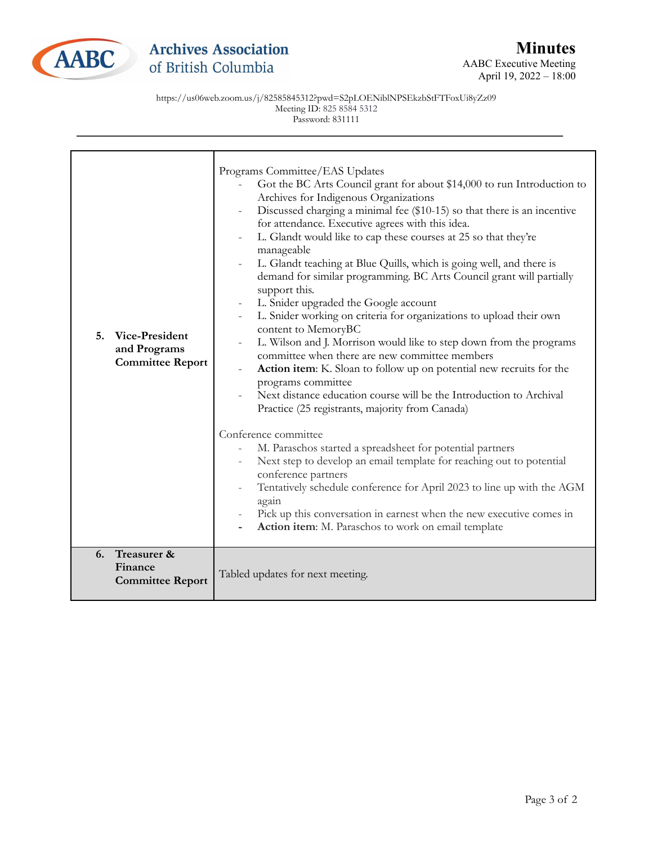

AABC Executive Meeting April 19, 2022 – 18:00

https://us06web.zoom.us/j/82585845312?pwd=S2pLOENiblNPSEkzbStFTFoxUi8yZz09 Meeting ID: 825 8584 5312 Password: 831111

| Vice-President<br>5.<br>and Programs<br><b>Committee Report</b> | Programs Committee/EAS Updates<br>Got the BC Arts Council grant for about \$14,000 to run Introduction to<br>Archives for Indigenous Organizations<br>Discussed charging a minimal fee (\$10-15) so that there is an incentive<br>for attendance. Executive agrees with this idea.<br>L. Glandt would like to cap these courses at 25 so that they're<br>$\overline{\phantom{a}}$<br>manageable<br>L. Glandt teaching at Blue Quills, which is going well, and there is<br>demand for similar programming. BC Arts Council grant will partially<br>support this.<br>L. Snider upgraded the Google account<br>$\equiv$<br>L. Snider working on criteria for organizations to upload their own<br>content to MemoryBC<br>L. Wilson and J. Morrison would like to step down from the programs<br>committee when there are new committee members<br>Action item: K. Sloan to follow up on potential new recruits for the<br>programs committee<br>Next distance education course will be the Introduction to Archival<br>Practice (25 registrants, majority from Canada)<br>Conference committee<br>M. Paraschos started a spreadsheet for potential partners<br>Next step to develop an email template for reaching out to potential<br>conference partners<br>Tentatively schedule conference for April 2023 to line up with the AGM<br>again<br>Pick up this conversation in earnest when the new executive comes in |
|-----------------------------------------------------------------|---------------------------------------------------------------------------------------------------------------------------------------------------------------------------------------------------------------------------------------------------------------------------------------------------------------------------------------------------------------------------------------------------------------------------------------------------------------------------------------------------------------------------------------------------------------------------------------------------------------------------------------------------------------------------------------------------------------------------------------------------------------------------------------------------------------------------------------------------------------------------------------------------------------------------------------------------------------------------------------------------------------------------------------------------------------------------------------------------------------------------------------------------------------------------------------------------------------------------------------------------------------------------------------------------------------------------------------------------------------------------------------------------------------------|
| Treasurer &<br>6.<br>Finance<br><b>Committee Report</b>         | Action item: M. Paraschos to work on email template<br>Tabled updates for next meeting.                                                                                                                                                                                                                                                                                                                                                                                                                                                                                                                                                                                                                                                                                                                                                                                                                                                                                                                                                                                                                                                                                                                                                                                                                                                                                                                             |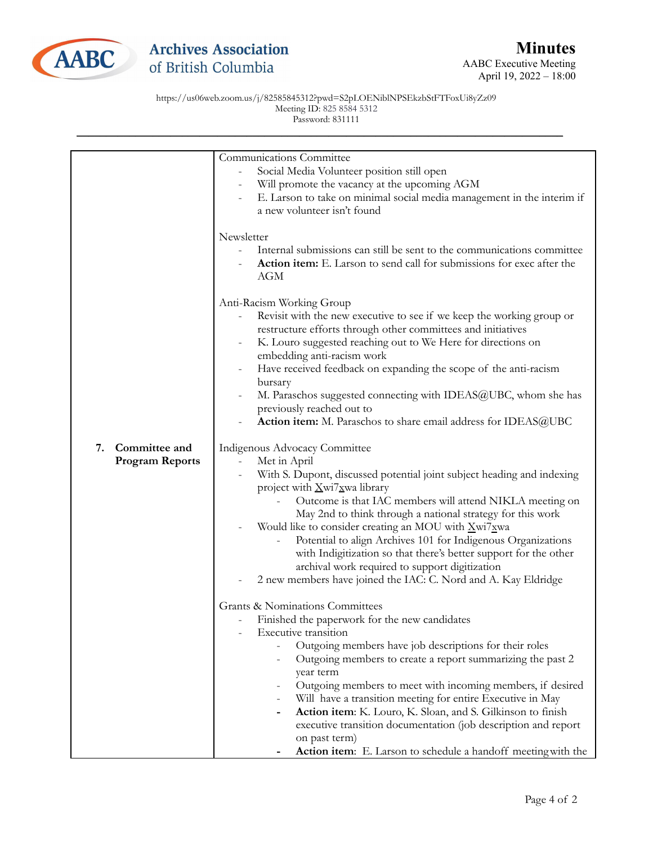

AABC Executive Meeting April 19, 2022 – 18:00

https://us06web.zoom.us/j/82585845312?pwd=S2pLOENiblNPSEkzbStFTFoxUi8yZz09 Meeting ID: 825 8584 5312 Password: 831111

|                        | Communications Committee                                                                |
|------------------------|-----------------------------------------------------------------------------------------|
|                        | Social Media Volunteer position still open                                              |
|                        | Will promote the vacancy at the upcoming AGM                                            |
|                        | E. Larson to take on minimal social media management in the interim if                  |
|                        | a new volunteer isn't found                                                             |
|                        |                                                                                         |
|                        | Newsletter                                                                              |
|                        | Internal submissions can still be sent to the communications committee                  |
|                        | Action item: E. Larson to send call for submissions for exec after the                  |
|                        | AGM                                                                                     |
|                        |                                                                                         |
|                        | Anti-Racism Working Group                                                               |
|                        | Revisit with the new executive to see if we keep the working group or                   |
|                        | restructure efforts through other committees and initiatives                            |
|                        |                                                                                         |
|                        | K. Louro suggested reaching out to We Here for directions on                            |
|                        | embedding anti-racism work                                                              |
|                        | Have received feedback on expanding the scope of the anti-racism                        |
|                        | bursary                                                                                 |
|                        | M. Paraschos suggested connecting with IDEAS@UBC, whom she has                          |
|                        | previously reached out to                                                               |
|                        | Action item: M. Paraschos to share email address for IDEAS@UBC                          |
|                        |                                                                                         |
| Committee and<br>7.    | Indigenous Advocacy Committee                                                           |
| <b>Program Reports</b> | Met in April<br>$\bar{\phantom{a}}$                                                     |
|                        | With S. Dupont, discussed potential joint subject heading and indexing                  |
|                        | project with <i>Xwi7xwa</i> library                                                     |
|                        | Outcome is that IAC members will attend NIKLA meeting on                                |
|                        | May 2nd to think through a national strategy for this work                              |
|                        | Would like to consider creating an MOU with Xwi7xwa                                     |
|                        | Potential to align Archives 101 for Indigenous Organizations                            |
|                        | with Indigitization so that there's better support for the other                        |
|                        | archival work required to support digitization                                          |
|                        | 2 new members have joined the IAC: C. Nord and A. Kay Eldridge                          |
|                        |                                                                                         |
|                        | <b>Grants &amp; Nominations Committees</b>                                              |
|                        | Finished the paperwork for the new candidates                                           |
|                        | Executive transition                                                                    |
|                        | Outgoing members have job descriptions for their roles                                  |
|                        | Outgoing members to create a report summarizing the past 2                              |
|                        | year term                                                                               |
|                        |                                                                                         |
|                        | Outgoing members to meet with incoming members, if desired                              |
|                        | Will have a transition meeting for entire Executive in May                              |
|                        | Action item: K. Louro, K. Sloan, and S. Gilkinson to finish<br>$\overline{\phantom{a}}$ |
|                        | executive transition documentation (job description and report                          |
|                        | on past term)                                                                           |
|                        | Action item: E. Larson to schedule a handoff meeting with the                           |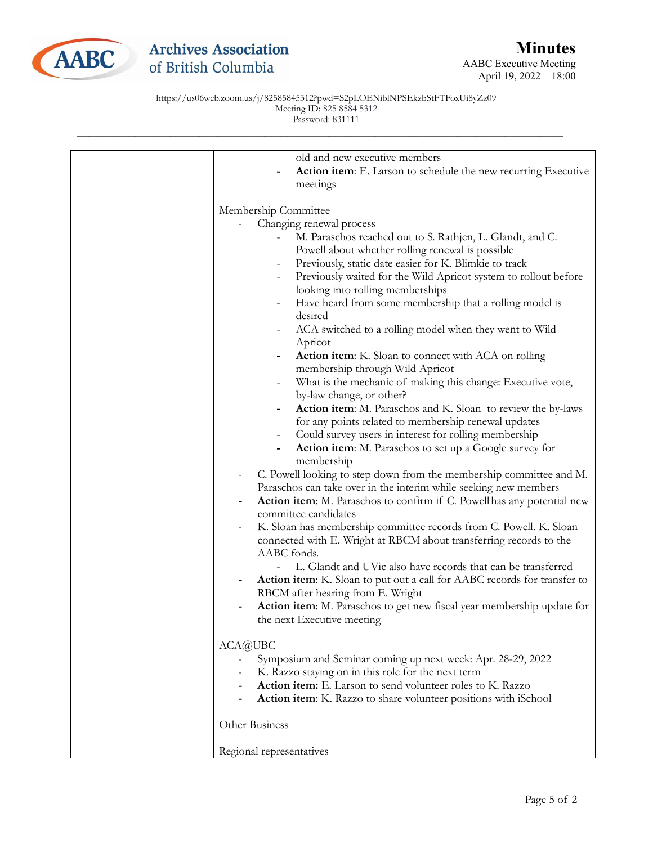

## **Archives Association** of British Columbia

AABC Executive Meeting April 19, 2022 – 18:00

https://us06web.zoom.us/j/82585845312?pwd=S2pLOENiblNPSEkzbStFTFoxUi8yZz09 Meeting ID: 825 8584 5312 Password: 831111

| old and new executive members                                                                |
|----------------------------------------------------------------------------------------------|
| <b>Action item:</b> E. Larson to schedule the new recurring Executive                        |
| meetings                                                                                     |
| Membership Committee                                                                         |
| Changing renewal process                                                                     |
| M. Paraschos reached out to S. Rathjen, L. Glandt, and C.                                    |
| Powell about whether rolling renewal is possible                                             |
| Previously, static date easier for K. Blimkie to track                                       |
|                                                                                              |
| Previously waited for the Wild Apricot system to rollout before<br>$\overline{\phantom{0}}$  |
| looking into rolling memberships                                                             |
| Have heard from some membership that a rolling model is<br>desired                           |
| ACA switched to a rolling model when they went to Wild<br>$\overline{\phantom{0}}$           |
| Apricot                                                                                      |
| Action item: K. Sloan to connect with ACA on rolling<br>-<br>membership through Wild Apricot |
| What is the mechanic of making this change: Executive vote,<br>$\overline{\phantom{0}}$      |
| by-law change, or other?                                                                     |
| Action item: M. Paraschos and K. Sloan to review the by-laws                                 |
| for any points related to membership renewal updates                                         |
| Could survey users in interest for rolling membership                                        |
| <b>Action item:</b> M. Paraschos to set up a Google survey for<br>$\overline{\phantom{0}}$   |
| membership                                                                                   |
| C. Powell looking to step down from the membership committee and M.                          |
| Paraschos can take over in the interim while seeking new members                             |
| Action item: M. Paraschos to confirm if C. Powell has any potential new                      |
| committee candidates                                                                         |
| K. Sloan has membership committee records from C. Powell. K. Sloan                           |
| connected with E. Wright at RBCM about transferring records to the                           |
| AABC fonds.                                                                                  |
| L. Glandt and UVic also have records that can be transferred                                 |
| Action item: K. Sloan to put out a call for AABC records for transfer to                     |
| RBCM after hearing from E. Wright                                                            |
| Action item: M. Paraschos to get new fiscal year membership update for                       |
| the next Executive meeting                                                                   |
| ACA@UBC                                                                                      |
| Symposium and Seminar coming up next week: Apr. 28-29, 2022                                  |
| K. Razzo staying on in this role for the next term                                           |
| Action item: E. Larson to send volunteer roles to K. Razzo                                   |
| Action item: K. Razzo to share volunteer positions with iSchool                              |
|                                                                                              |
| Other Business                                                                               |
| Regional representatives                                                                     |